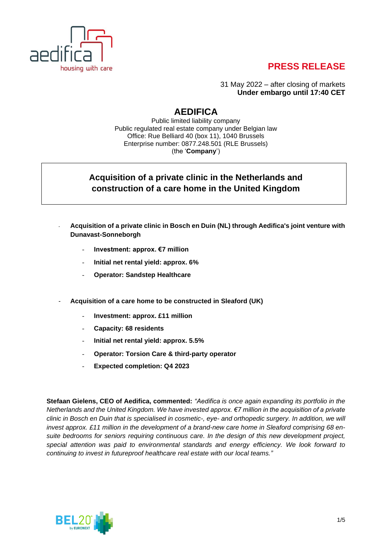

# **PRESS RELEASE**

31 May 2022 – after closing of markets **Under embargo until 17:40 CET**

# **AEDIFICA**

Public limited liability company Public regulated real estate company under Belgian law Office: Rue Belliard 40 (box 11), 1040 Brussels Enterprise number: 0877.248.501 (RLE Brussels) (the '**Company**')

## **Acquisition of a private clinic in the Netherlands and construction of a care home in the United Kingdom**

- **Acquisition of a private clinic in Bosch en Duin (NL) through Aedifica's joint venture with Dunavast-Sonneborgh**
	- **Investment: approx. €7 million**
	- **Initial net rental yield: approx. 6%**
	- **Operator: Sandstep Healthcare**
- **Acquisition of a care home to be constructed in Sleaford (UK)**
	- **Investment: approx. £11 million**
	- **Capacity: 68 residents**
	- **Initial net rental yield: approx. 5.5%**
	- **Operator: Torsion Care & third-party operator**
	- **Expected completion: Q4 2023**

**Stefaan Gielens, CEO of Aedifica, commented:** *"Aedifica is once again expanding its portfolio in the Netherlands and the United Kingdom. We have invested approx. €7 million in the acquisition of a private clinic in Bosch en Duin that is specialised in cosmetic-, eye- and orthopedic surgery. In addition, we will invest approx. £11 million in the development of a brand-new care home in Sleaford comprising 68 ensuite bedrooms for seniors requiring continuous care. In the design of this new development project, special attention was paid to environmental standards and energy efficiency. We look forward to continuing to invest in futureproof healthcare real estate with our local teams."*

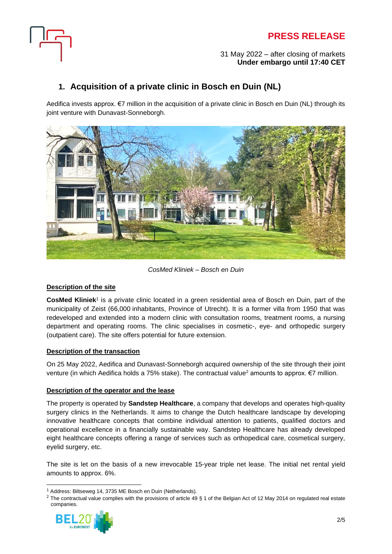



#### 31 May 2022 – after closing of markets **Under embargo until 17:40 CET**

## **1. Acquisition of a private clinic in Bosch en Duin (NL)**

Aedifica invests approx. €7 million in the acquisition of a private clinic in Bosch en Duin (NL) through its joint venture with Dunavast-Sonneborgh.



*CosMed Kliniek – Bosch en Duin*

### **Description of the site**

**CosMed Kliniek**<sup>1</sup> is a private clinic located in a green residential area of Bosch en Duin, part of the municipality of Zeist (66,000 inhabitants, Province of Utrecht). It is a former villa from 1950 that was redeveloped and extended into a modern clinic with consultation rooms, treatment rooms, a nursing department and operating rooms. The clinic specialises in cosmetic-, eye- and orthopedic surgery (outpatient care). The site offers potential for future extension.

### **Description of the transaction**

On 25 May 2022, Aedifica and Dunavast-Sonneborgh acquired ownership of the site through their joint venture (in which Aedifica holds a 75% stake). The contractual value<sup>2</sup> amounts to approx. €7 million.

### **Description of the operator and the lease**

The property is operated by **Sandstep Healthcare**, a company that develops and operates high-quality surgery clinics in the Netherlands. It aims to change the Dutch healthcare landscape by developing innovative healthcare concepts that combine individual attention to patients, qualified doctors and operational excellence in a financially sustainable way. Sandstep Healthcare has already developed eight healthcare concepts offering a range of services such as orthopedical care, cosmetical surgery, eyelid surgery, etc.

The site is let on the basis of a new irrevocable 15-year triple net lease. The initial net rental yield amounts to approx. 6%.

<sup>&</sup>lt;sup>2</sup> The contractual value complies with the provisions of article 49 § 1 of the Belgian Act of 12 May 2014 on regulated real estate companies.



<sup>1</sup> Address: Biltseweg 14, 3735 ME Bosch en Duin (Netherlands).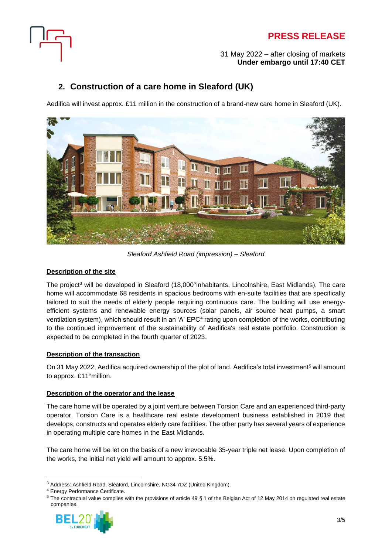



#### 31 May 2022 – after closing of markets **Under embargo until 17:40 CET**

## **2. Construction of a care home in Sleaford (UK)**

Aedifica will invest approx. £11 million in the construction of a brand-new care home in Sleaford (UK).



*Sleaford Ashfield Road (impression) – Sleaford*

### **Description of the site**

The project<sup>3</sup> will be developed in Sleaford (18,000°inhabitants, Lincolnshire, East Midlands). The care home will accommodate 68 residents in spacious bedrooms with en-suite facilities that are specifically tailored to suit the needs of elderly people requiring continuous care. The building will use energyefficient systems and renewable energy sources (solar panels, air source heat pumps, a smart ventilation system), which should result in an 'A' EPC<sup>4</sup> rating upon completion of the works, contributing to the continued improvement of the sustainability of Aedifica's real estate portfolio. Construction is expected to be completed in the fourth quarter of 2023.

### **Description of the transaction**

On 31 May 2022, Aedifica acquired ownership of the plot of land. Aedifica's total investment<sup>5</sup> will amount to approx. £11°million.

### **Description of the operator and the lease**

The care home will be operated by a joint venture between Torsion Care and an experienced third-party operator. Torsion Care is a healthcare real estate development business established in 2019 that develops, constructs and operates elderly care facilities. The other party has several years of experience in operating multiple care homes in the East Midlands.

The care home will be let on the basis of a new irrevocable 35-year triple net lease. Upon completion of the works, the initial net yield will amount to approx. 5.5%.

<sup>5</sup> The contractual value complies with the provisions of article 49 § 1 of the Belgian Act of 12 May 2014 on regulated real estate companies.



<sup>3</sup> Address: Ashfield Road, Sleaford, Lincolnshire, NG34 7DZ (United Kingdom).

<sup>4</sup> Energy Performance Certificate.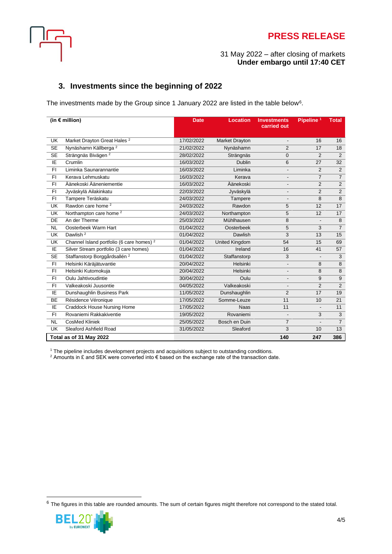

## **PRESS RELEASE**

#### 31 May 2022 – after closing of markets **Under embargo until 17:40 CET**

### **3. Investments since the beginning of 2022**

The investments made by the Group since 1 January 2022 are listed in the table below<sup>6</sup>.

| (in $\epsilon$ million)  |                                                      | <b>Date</b> | <b>Location</b>       | <b>Investments</b><br>carried out | Pipeline <sup>1</sup> | <b>Total</b>     |
|--------------------------|------------------------------------------------------|-------------|-----------------------|-----------------------------------|-----------------------|------------------|
| <b>UK</b>                | Market Drayton Great Hales <sup>2</sup>              | 17/02/2022  | Market Drayton        | $\qquad \qquad \blacksquare$      | 16                    | 16               |
| $\overline{\text{SE}}$   | Nynäshamn Källberga <sup>2</sup>                     | 21/02/2022  | Nynäshamn             | $\overline{2}$                    | 17                    | $\overline{18}$  |
| <b>SE</b>                | Strängnäs Bivägen <sup>2</sup>                       | 28/02/2022  | Strängnäs             | 0                                 | $\overline{2}$        | 2                |
| IE                       | Crumlin                                              | 16/03/2022  | Dublin                | 6                                 | 27                    | 32               |
| FI.                      | Liminka Saunarannantie                               | 16/03/2022  | Liminka               | $\overline{\phantom{a}}$          | 2                     | $\overline{2}$   |
| FI.                      | Kerava Lehmuskatu                                    | 16/03/2022  | Kerava                | $\overline{\phantom{a}}$          | $\overline{7}$        | $\overline{7}$   |
| $\overline{FI}$          | Äänekoski Ääneniementie                              | 16/03/2022  | Äänekoski             | $\overline{\phantom{a}}$          | $\overline{2}$        | $\overline{2}$   |
| FI                       | Jyväskylä Ailakinkatu                                | 22/03/2022  | Jyväskylä             | $\overline{\phantom{a}}$          | 2                     | $\overline{2}$   |
| FI                       | Tampere Teräskatu                                    | 24/03/2022  | Tampere               | $\qquad \qquad \blacksquare$      | 8                     | $\boldsymbol{8}$ |
| UK                       | Rawdon care home <sup>2</sup>                        | 24/03/2022  | Rawdon                | 5                                 | 12                    | 17               |
| UK                       | Northampton care home <sup>2</sup>                   | 24/03/2022  | Northampton           | 5                                 | 12                    | 17               |
| DE                       | An der Therme                                        | 25/03/2022  | Mühlhausen            | 8                                 | $\overline{a}$        | 8                |
| <b>NL</b>                | Oosterbeek Warm Hart                                 | 01/04/2022  | Oosterbeek            | 5                                 | 3                     | $\overline{7}$   |
| <b>UK</b>                | Dawlish <sup>2</sup>                                 | 01/04/2022  | Dawlish               | 3                                 | 13                    | 15               |
| <b>UK</b>                | Channel Island portfolio (6 care homes) <sup>2</sup> | 01/04/2022  | <b>United Kingdom</b> | 54                                | 15                    | 69               |
| ΙE                       | Silver Stream portfolio (3 care homes)               | 01/04/2022  | Ireland               | 16                                | 41                    | 57               |
| <b>SE</b>                | Staffanstorp Borggårdsallén <sup>2</sup>             | 01/04/2022  | Staffanstorp          | 3                                 | $\frac{1}{2}$         | 3                |
| FI.                      | Helsinki Käräjätuvantie                              | 20/04/2022  | Helsinki              | $\overline{\phantom{a}}$          | 8                     | 8                |
| FI.                      | Helsinki Kutomokuja                                  | 20/04/2022  | Helsinki              | $\qquad \qquad \blacksquare$      | 8                     | 8                |
| FI.                      | Oulu Jahtivoudintie                                  | 30/04/2022  | Oulu                  | $\overline{\phantom{a}}$          | 9                     | 9                |
| FI.                      | Valkeakoski Juusontie                                | 04/05/2022  | Valkeakoski           | $\qquad \qquad \blacksquare$      | $\overline{2}$        | $\overline{2}$   |
| IE                       | Dunshaughlin Business Park                           | 11/05/2022  | Dunshaughlin          | $\overline{2}$                    | 17                    | $\overline{19}$  |
| <b>BE</b>                | Résidence Véronique                                  | 17/05/2022  | Somme-Leuze           | 11                                | 10                    | 21               |
| IE                       | <b>Craddock House Nursing Home</b>                   | 17/05/2022  | <b>Naas</b>           | 11                                | $\frac{1}{2}$         | 11               |
| FI.                      | Rovaniemi Rakkakiventie                              | 19/05/2022  | Rovaniemi             | $\overline{a}$                    | 3                     | $\overline{3}$   |
| <b>NL</b>                | <b>CosMed Kliniek</b>                                | 25/05/2022  | Bosch en Duin         | $\overline{7}$                    | $\overline{a}$        | $\overline{7}$   |
| $\overline{\mathsf{UK}}$ | Sleaford Ashfield Road                               | 31/05/2022  | Sleaford              | 3                                 | 10                    | $\overline{13}$  |
| Total as of 31 May 2022  |                                                      |             |                       | 140                               | 247                   | 386              |

<sup>1</sup> The pipeline includes development projects and acquisitions subject to outstanding conditions.

 $^2$  Amounts in £ and SEK were converted into € based on the exchange rate of the transaction date.

 $6$  The figures in this table are rounded amounts. The sum of certain figures might therefore not correspond to the stated total.